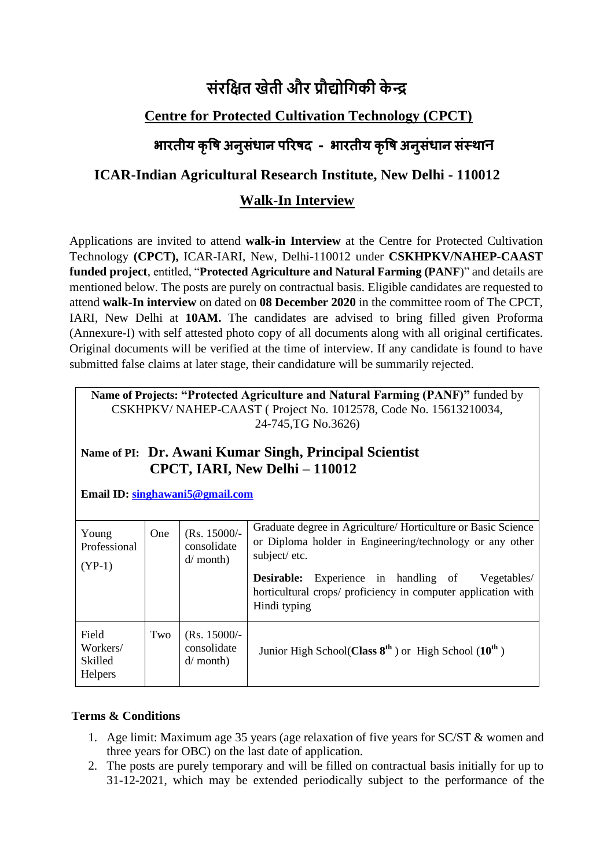# **संरक्षित खेती और प्रौद्योक्षिकी के न्द्र**

## **Centre for Protected Cultivation Technology (CPCT)**

# **भारतीय क ृ षि अन ुसंधान [पररिद](https://icar.org.in/) - भारतीय क ृ षि अन ुसंधान संस्थान**

### **ICAR-Indian Agricultural Research Institute, New Delhi - 110012**

### **Walk-In Interview**

Applications are invited to attend **walk-in Interview** at the Centre for Protected Cultivation Technology **(CPCT),** ICAR-IARI, New, Delhi-110012 under **CSKHPKV/NAHEP-CAAST funded project**, entitled, "**Protected Agriculture and Natural Farming (PANF**)" and details are mentioned below. The posts are purely on contractual basis. Eligible candidates are requested to attend **walk-In interview** on dated on **08 December 2020** in the committee room of The CPCT, IARI, New Delhi at **10AM.** The candidates are advised to bring filled given Proforma (Annexure-I) with self attested photo copy of all documents along with all original certificates. Original documents will be verified at the time of interview. If any candidate is found to have submitted false claims at later stage, their candidature will be summarily rejected.

**Name of Projects: "Protected Agriculture and Natural Farming (PANF)"** funded by CSKHPKV/ NAHEP-CAAST ( Project No. 1012578, Code No. 15613210034, 24-745,TG No.3626)

### **Name of PI: Dr. Awani Kumar Singh, Principal Scientist CPCT, IARI, New Delhi – 110012**

**Email ID: [singhawani5@gmail.com](mailto:singhawani5@gmail.com)**

| Young<br>Professional<br>$(YP-1)$       | One | $(Rs. 15000/-$<br>consolidate<br>$d/$ month) | Graduate degree in Agriculture/Horticulture or Basic Science<br>or Diploma holder in Engineering/technology or any other<br>subject/etc.<br>Experience in handling of<br><b>Desirable:</b><br>Vegetables/<br>horticultural crops/ proficiency in computer application with<br>Hindi typing |
|-----------------------------------------|-----|----------------------------------------------|--------------------------------------------------------------------------------------------------------------------------------------------------------------------------------------------------------------------------------------------------------------------------------------------|
| Field<br>Workers/<br>Skilled<br>Helpers | Two | $(Rs. 15000/-$<br>consolidate<br>$d/$ month) | Junior High School(Class $8^{th}$ ) or High School (10 <sup>th</sup> )                                                                                                                                                                                                                     |

### **Terms & Conditions**

- 1. Age limit: Maximum age 35 years (age relaxation of five years for SC/ST & women and three years for OBC) on the last date of application.
- 2. The posts are purely temporary and will be filled on contractual basis initially for up to 31-12-2021, which may be extended periodically subject to the performance of the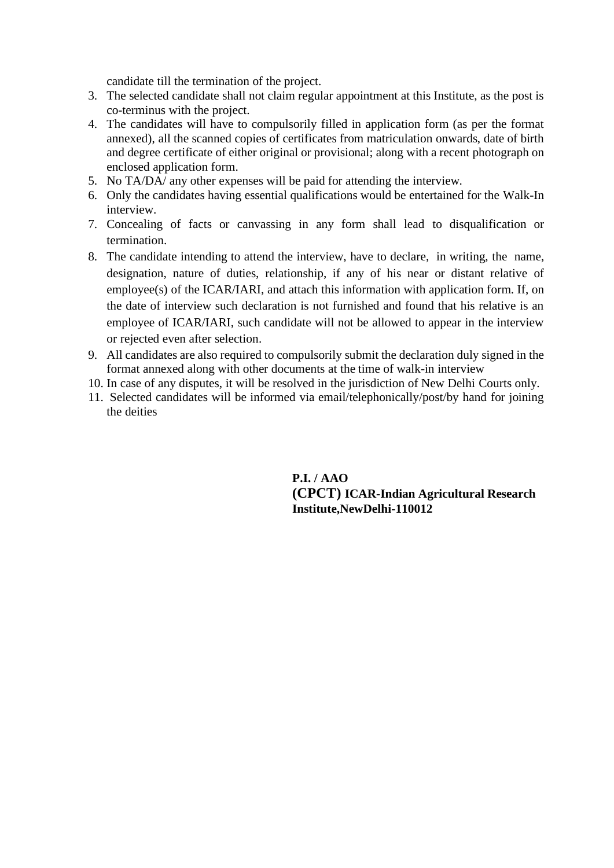candidate till the termination of the project.

- 3. The selected candidate shall not claim regular appointment at this Institute, as the post is co-terminus with the project.
- 4. The candidates will have to compulsorily filled in application form (as per the format annexed), all the scanned copies of certificates from matriculation onwards, date of birth and degree certificate of either original or provisional; along with a recent photograph on enclosed application form.
- 5. No TA/DA/ any other expenses will be paid for attending the interview.
- 6. Only the candidates having essential qualifications would be entertained for the Walk-In interview.
- 7. Concealing of facts or canvassing in any form shall lead to disqualification or termination.
- 8. The candidate intending to attend the interview, have to declare, in writing, the name, designation, nature of duties, relationship, if any of his near or distant relative of employee(s) of the ICAR/IARI, and attach this information with application form. If, on the date of interview such declaration is not furnished and found that his relative is an employee of ICAR/IARI, such candidate will not be allowed to appear in the interview or rejected even after selection.
- 9. All candidates are also required to compulsorily submit the declaration duly signed in the format annexed along with other documents at the time of walk-in interview
- 10. In case of any disputes, it will be resolved in the jurisdiction of New Delhi Courts only.
- 11. Selected candidates will be informed via email/telephonically/post/by hand for joining the deities

**P.I. / AAO (CPCT) ICAR-Indian Agricultural Research Institute,NewDelhi-110012**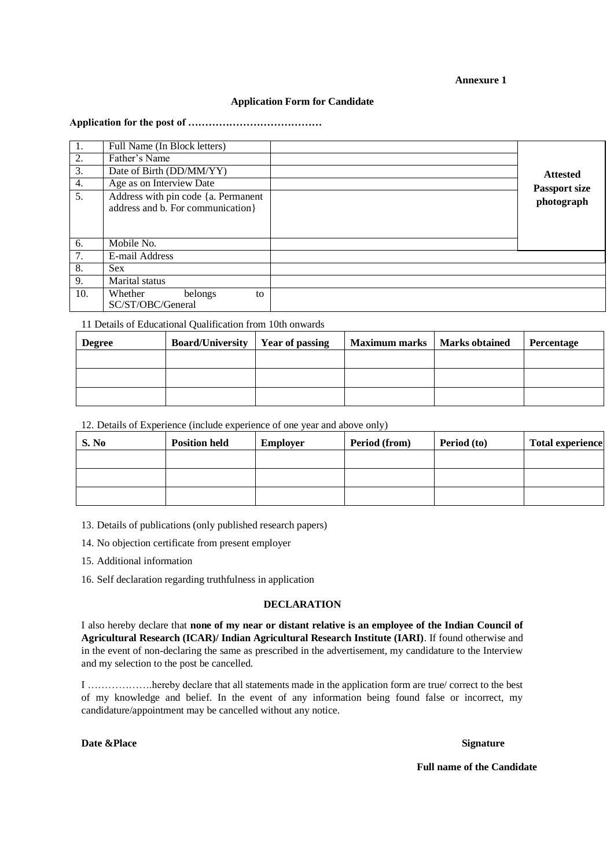#### **Annexure 1**

#### **Application Form for Candidate**

#### **Application for the post of …………………………………**

| 1.               | Full Name (In Block letters)                                              |                      |
|------------------|---------------------------------------------------------------------------|----------------------|
| 2.               | Father's Name                                                             |                      |
| 3.               | Date of Birth (DD/MM/YY)                                                  | <b>Attested</b>      |
| 4.               | Age as on Interview Date                                                  | <b>Passport size</b> |
| 5.               | Address with pin code {a. Permanent<br>address and b. For communication } | photograph           |
| 6.               | Mobile No.                                                                |                      |
| 7.               | E-mail Address                                                            |                      |
| 8.               | <b>Sex</b>                                                                |                      |
| $\overline{9}$ . | Marital status                                                            |                      |
| 10.              | Whether<br>belongs<br>to<br>SC/ST/OBC/General                             |                      |

11 Details of Educational Qualification from 10th onwards

| <b>Degree</b> | <b>Board/University   Year of passing</b> | Maximum marks   Marks obtained | Percentage |
|---------------|-------------------------------------------|--------------------------------|------------|
|               |                                           |                                |            |
|               |                                           |                                |            |
|               |                                           |                                |            |

12. Details of Experience (include experience of one year and above only)

| S. No | <b>Position held</b> | <b>Employer</b> | Period (from) | Period (to) | <b>Total experience</b> |
|-------|----------------------|-----------------|---------------|-------------|-------------------------|
|       |                      |                 |               |             |                         |
|       |                      |                 |               |             |                         |
|       |                      |                 |               |             |                         |

13. Details of publications (only published research papers)

14. No objection certificate from present employer

15. Additional information

16. Self declaration regarding truthfulness in application

#### **DECLARATION**

I also hereby declare that **none of my near or distant relative is an employee of the Indian Council of Agricultural Research (ICAR)/ Indian Agricultural Research Institute (IARI)**. If found otherwise and in the event of non-declaring the same as prescribed in the advertisement, my candidature to the Interview and my selection to the post be cancelled.

I ……………….hereby declare that all statements made in the application form are true/ correct to the best of my knowledge and belief. In the event of any information being found false or incorrect, my candidature/appointment may be cancelled without any notice.

**Date &Place Signature** 

 **Full name of the Candidate**